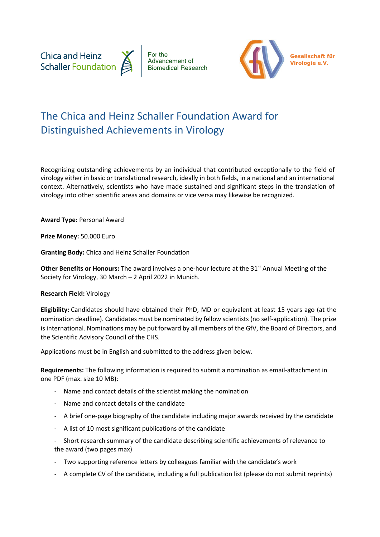



**Gesellschaft für Virologie e.V.**

## The Chica and Heinz Schaller Foundation Award for Distinguished Achievements in Virology

Recognising outstanding achievements by an individual that contributed exceptionally to the field of virology either in basic or translational research, ideally in both fields, in a national and an international context. Alternatively, scientists who have made sustained and significant steps in the translation of virology into other scientific areas and domains or vice versa may likewise be recognized.

**Award Type:** Personal Award

**Prize Money:** 50.000 Euro

**Granting Body:** Chica and Heinz Schaller Foundation

**Other Benefits or Honours:** The award involves a one-hour lecture at the 31<sup>st</sup> Annual Meeting of the Society for Virology, 30 March – 2 April 2022 in Munich.

## **Research Field:** Virology

**Eligibility:** Candidates should have obtained their PhD, MD or equivalent at least 15 years ago (at the nomination deadline). Candidates must be nominated by fellow scientists (no self-application). The prize is international. Nominations may be put forward by all members of the GfV, the Board of Directors, and the Scientific Advisory Council of the CHS.

Applications must be in English and submitted to the address given below.

**Requirements:** The following information is required to submit a nomination as email-attachment in one PDF (max. size 10 MB):

- Name and contact details of the scientist making the nomination
- Name and contact details of the candidate
- A brief one-page biography of the candidate including major awards received by the candidate
- A list of 10 most significant publications of the candidate
- Short research summary of the candidate describing scientific achievements of relevance to the award (two pages max)
- Two supporting reference letters by colleagues familiar with the candidate's work
- A complete CV of the candidate, including a full publication list (please do not submit reprints)